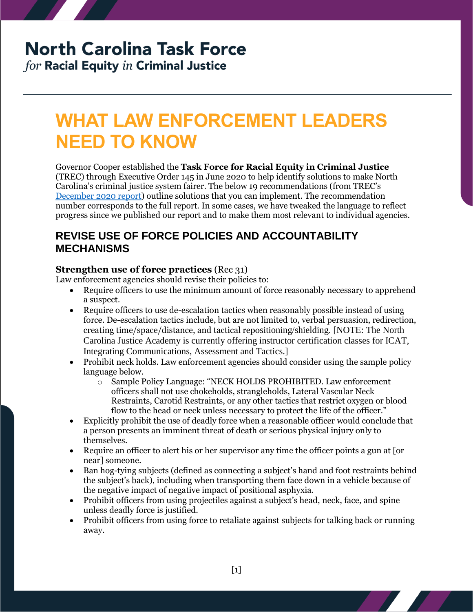# **North Carolina Task Force**

for Racial Equity in Criminal Justice

# **WHAT LAW ENFORCEMENT LEADERS NEED TO KNOW**

Governor Cooper established the **Task Force for Racial Equity in Criminal Justice** (TREC) through Executive Order 145 in June 2020 to help identify solutions to make North Carolina's criminal justice system fairer. The below 19 recommendations (from TREC's [December 2020 report\)](https://ncdoj.gov/wp-content/uploads/2021/02/TRECReportFinal_02262021.pdf) outline solutions that you can implement. The recommendation number corresponds to the full report. In some cases, we have tweaked the language to reflect progress since we published our report and to make them most relevant to individual agencies.

### **REVISE USE OF FORCE POLICIES AND ACCOUNTABILITY MECHANISMS**

### **Strengthen use of force practices** (Rec 31)

Law enforcement agencies should revise their policies to:

- Require officers to use the minimum amount of force reasonably necessary to apprehend a suspect.
- Require officers to use de-escalation tactics when reasonably possible instead of using force. De-escalation tactics include, but are not limited to, verbal persuasion, redirection, creating time/space/distance, and tactical repositioning/shielding. [NOTE: The North Carolina Justice Academy is currently offering instructor certification classes for ICAT, Integrating Communications, Assessment and Tactics.]
- Prohibit neck holds. Law enforcement agencies should consider using the sample policy language below.
	- o Sample Policy Language: "NECK HOLDS PROHIBITED. Law enforcement officers shall not use chokeholds, strangleholds, Lateral Vascular Neck Restraints, Carotid Restraints, or any other tactics that restrict oxygen or blood flow to the head or neck unless necessary to protect the life of the officer."
- Explicitly prohibit the use of deadly force when a reasonable officer would conclude that a person presents an imminent threat of death or serious physical injury only to themselves.
- Require an officer to alert his or her supervisor any time the officer points a gun at [or near] someone.
- Ban hog-tying subjects (defined as connecting a subject's hand and foot restraints behind the subject's back), including when transporting them face down in a vehicle because of the negative impact of negative impact of positional asphyxia.
- Prohibit officers from using projectiles against a subject's head, neck, face, and spine unless deadly force is justified.
- Prohibit officers from using force to retaliate against subjects for talking back or running away.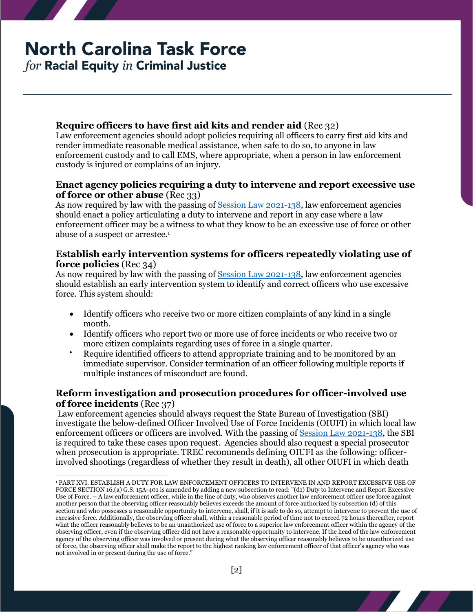# **North Carolina Task Force**

for Racial Equity in Criminal Justice

 $\overline{a}$ 

### **Require officers to have first aid kits and render aid** (Rec 32)

Law enforcement agencies should adopt policies requiring all officers to carry first aid kits and render immediate reasonable medical assistance, when safe to do so, to anyone in law enforcement custody and to call EMS, where appropriate, when a person in law enforcement custody is injured or complains of an injury.

### **Enact agency policies requiring a duty to intervene and report excessive use of force or other abuse** (Rec 33)

As now required by law with the passing of [Session Law 2021-138,](https://www.ncleg.gov/Sessions/2021/Bills/Senate/PDF/S300v8.pdf) law enforcement agencies should enact a policy articulating a duty to intervene and report in any case where a law enforcement officer may be a witness to what they know to be an excessive use of force or other abuse of a suspect or arrestee.<sup>1</sup>

### **Establish early intervention systems for officers repeatedly violating use of force policies** (Rec 34)

As now required by law with the passing of [Session Law 2021-138,](https://www.ncleg.gov/Sessions/2021/Bills/Senate/PDF/S300v8.pdf) law enforcement agencies should establish an early intervention system to identify and correct officers who use excessive force. This system should:

- Identify officers who receive two or more citizen complaints of any kind in a single month.
- Identify officers who report two or more use of force incidents or who receive two or more citizen complaints regarding uses of force in a single quarter.
- Require identified officers to attend appropriate training and to be monitored by an immediate supervisor. Consider termination of an officer following multiple reports if multiple instances of misconduct are found.

### **Reform investigation and prosecution procedures for officer-involved use of force incidents** (Rec 37)

Law enforcement agencies should always request the State Bureau of Investigation (SBI) investigate the below-defined Officer Involved Use of Force Incidents (OIUFI) in which local law enforcement officers or officers are involved. With the passing o[f Session Law 2021-138,](https://www.ncleg.gov/Sessions/2021/Bills/Senate/PDF/S300v8.pdf) the SBI is required to take these cases upon request. Agencies should also request a special prosecutor when prosecution is appropriate. TREC recommends defining OIUFI as the following: officerinvolved shootings (regardless of whether they result in death), all other OIUFI in which death

<sup>1</sup> PART XVI. ESTABLISH A DUTY FOR LAW ENFORCEMENT OFFICERS TO INTERVENE IN AND REPORT EXCESSIVE USE OF FORCE SECTION 16.(a) G.S. 15A-401 is amended by adding a new subsection to read: "(d1) Duty to Intervene and Report Excessive Use of Force. – A law enforcement officer, while in the line of duty, who observes another law enforcement officer use force against another person that the observing officer reasonably believes exceeds the amount of force authorized by subsection (d) of this section and who possesses a reasonable opportunity to intervene, shall, if it is safe to do so, attempt to intervene to prevent the use of excessive force. Additionally, the observing officer shall, within a reasonable period of time not to exceed 72 hours thereafter, report what the officer reasonably believes to be an unauthorized use of force to a superior law enforcement officer within the agency of the observing officer, even if the observing officer did not have a reasonable opportunity to intervene. If the head of the law enforcement agency of the observing officer was involved or present during what the observing officer reasonably believes to be unauthorized use of force, the observing officer shall make the report to the highest ranking law enforcement officer of that officer's agency who was not involved in or present during the use of force."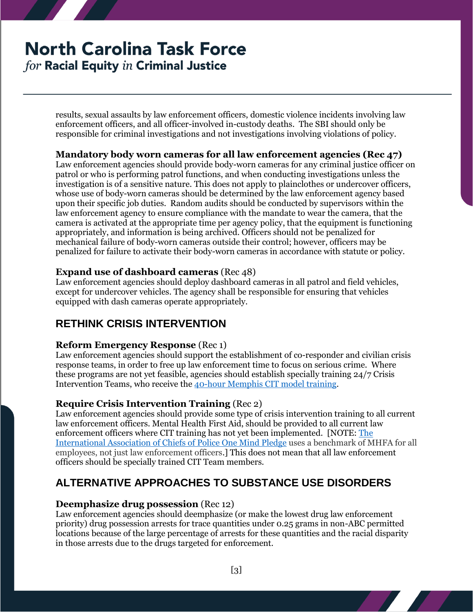# **North Carolina Task Force** for Racial Equity in Criminal Justice

results, sexual assaults by law enforcement officers, domestic violence incidents involving law enforcement officers, and all officer-involved in-custody deaths. The SBI should only be responsible for criminal investigations and not investigations involving violations of policy.

### **Mandatory body worn cameras for all law enforcement agencies (Rec 47)**

Law enforcement agencies should provide body-worn cameras for any criminal justice officer on patrol or who is performing patrol functions, and when conducting investigations unless the investigation is of a sensitive nature. This does not apply to plainclothes or undercover officers, whose use of body-worn cameras should be determined by the law enforcement agency based upon their specific job duties. Random audits should be conducted by supervisors within the law enforcement agency to ensure compliance with the mandate to wear the camera, that the camera is activated at the appropriate time per agency policy, that the equipment is functioning appropriately, and information is being archived. Officers should not be penalized for mechanical failure of body-worn cameras outside their control; however, officers may be penalized for failure to activate their body-worn cameras in accordance with statute or policy.

### **Expand use of dashboard cameras** (Rec 48)

Law enforcement agencies should deploy dashboard cameras in all patrol and field vehicles, except for undercover vehicles. The agency shall be responsible for ensuring that vehicles equipped with dash cameras operate appropriately.

## **RETHINK CRISIS INTERVENTION**

### **Reform Emergency Response** (Rec 1)

Law enforcement agencies should support the establishment of co-responder and civilian crisis response teams, in order to free up law enforcement time to focus on serious crime. Where these programs are not yet feasible, agencies should establish specially training 24/7 Crisis Intervention Teams, who receive th[e 40-hour Memphis CIT model training.](http://www.cit.memphis.edu/overview.php)

### **Require Crisis Intervention Training** (Rec 2)

Law enforcement agencies should provide some type of crisis intervention training to all current law enforcement officers. Mental Health First Aid, should be provided to all current law enforcement officers where CIT training has not yet been implemented. [NOTE: The [International Association of Chiefs of Police One Mind Pledge](https://www.theiacp.org/projects/one-mind-campaign) uses a benchmark of MHFA for all employees, not just law enforcement officers.] This does not mean that all law enforcement officers should be specially trained CIT Team members.

## **ALTERNATIVE APPROACHES TO SUBSTANCE USE DISORDERS**

### **Deemphasize drug possession** (Rec 12)

Law enforcement agencies should deemphasize (or make the lowest drug law enforcement priority) drug possession arrests for trace quantities under 0.25 grams in non-ABC permitted locations because of the large percentage of arrests for these quantities and the racial disparity in those arrests due to the drugs targeted for enforcement.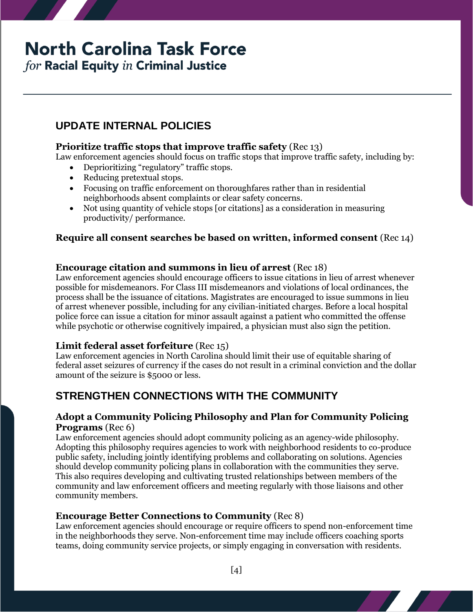# **North Carolina Task Force**

for Racial Equity in Criminal Justice

# **UPDATE INTERNAL POLICIES**

### **Prioritize traffic stops that improve traffic safety** (Rec 13)

Law enforcement agencies should focus on traffic stops that improve traffic safety, including by:

- Deprioritizing "regulatory" traffic stops.
- Reducing pretextual stops.
- Focusing on traffic enforcement on thoroughfares rather than in residential neighborhoods absent complaints or clear safety concerns.
- Not using quantity of vehicle stops [or citations] as a consideration in measuring productivity/ performance.

### **Require all consent searches be based on written, informed consent** (Rec 14)

#### **Encourage citation and summons in lieu of arrest** (Rec 18)

Law enforcement agencies should encourage officers to issue citations in lieu of arrest whenever possible for misdemeanors. For Class III misdemeanors and violations of local ordinances, the process shall be the issuance of citations. Magistrates are encouraged to issue summons in lieu of arrest whenever possible, including for any civilian-initiated charges. Before a local hospital police force can issue a citation for minor assault against a patient who committed the offense while psychotic or otherwise cognitively impaired, a physician must also sign the petition.

### **Limit federal asset forfeiture** (Rec 15)

Law enforcement agencies in North Carolina should limit their use of equitable sharing of federal asset seizures of currency if the cases do not result in a criminal conviction and the dollar amount of the seizure is \$5000 or less.

### **STRENGTHEN CONNECTIONS WITH THE COMMUNITY**

#### **Adopt a Community Policing Philosophy and Plan for Community Policing Programs** (Rec 6)

Law enforcement agencies should adopt community policing as an agency-wide philosophy. Adopting this philosophy requires agencies to work with neighborhood residents to co-produce public safety, including jointly identifying problems and collaborating on solutions. Agencies should develop community policing plans in collaboration with the communities they serve. This also requires developing and cultivating trusted relationships between members of the community and law enforcement officers and meeting regularly with those liaisons and other community members.

### **Encourage Better Connections to Community** (Rec 8)

Law enforcement agencies should encourage or require officers to spend non-enforcement time in the neighborhoods they serve. Non-enforcement time may include officers coaching sports teams, doing community service projects, or simply engaging in conversation with residents.